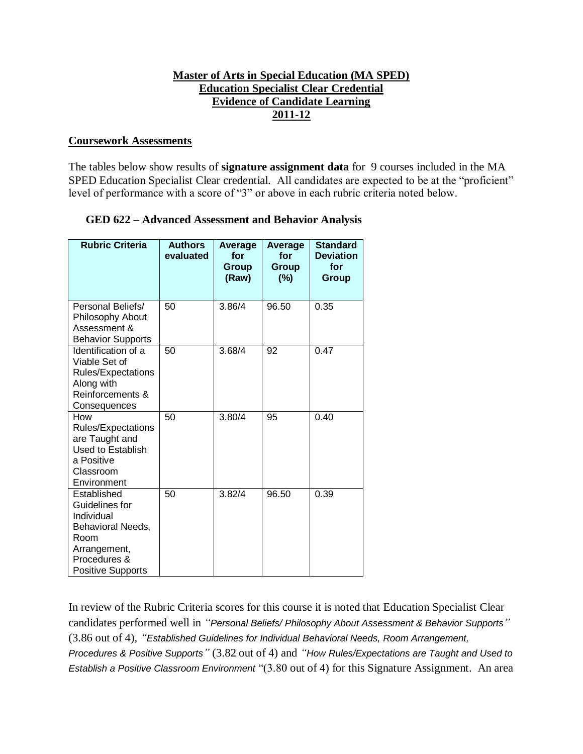## **Master of Arts in Special Education (MA SPED) Education Specialist Clear Credential Evidence of Candidate Learning 2011-12**

#### **Coursework Assessments**

The tables below show results of **signature assignment data** for 9 courses included in the MA SPED Education Specialist Clear credential. All candidates are expected to be at the "proficient" level of performance with a score of "3" or above in each rubric criteria noted below.

| <b>GED 622 - Advanced Assessment and Behavior Analysis</b> |  |  |  |
|------------------------------------------------------------|--|--|--|
|------------------------------------------------------------|--|--|--|

| <b>Rubric Criteria</b>                                                                                                               | <b>Authors</b><br>evaluated | Average<br>for<br><b>Group</b><br>(Raw) | Average<br>for<br>Group<br>(%) | <b>Standard</b><br><b>Deviation</b><br>for<br>Group |
|--------------------------------------------------------------------------------------------------------------------------------------|-----------------------------|-----------------------------------------|--------------------------------|-----------------------------------------------------|
| Personal Beliefs/<br>Philosophy About<br>Assessment &<br><b>Behavior Supports</b>                                                    | 50                          | 3.86/4                                  | 96.50                          | 0.35                                                |
| Identification of a<br>Viable Set of<br>Rules/Expectations<br>Along with<br>Reinforcements &<br>Consequences                         | 50                          | 3.68/4                                  | 92                             | 0.47                                                |
| How<br><b>Rules/Expectations</b><br>are Taught and<br><b>Used to Establish</b><br>a Positive<br>Classroom<br>Environment             | 50                          | 3.80/4                                  | 95                             | 0.40                                                |
| Established<br>Guidelines for<br>Individual<br>Behavioral Needs,<br>Room<br>Arrangement,<br>Procedures &<br><b>Positive Supports</b> | 50                          | 3.82/4                                  | 96.50                          | 0.39                                                |

In review of the Rubric Criteria scores for this course it is noted that Education Specialist Clear candidates performed well in *"Personal Beliefs/ Philosophy About Assessment & Behavior Supports"* (3.86 out of 4), *"Established Guidelines for Individual Behavioral Needs, Room Arrangement, Procedures & Positive Supports"* (3.82 out of 4) and *"How Rules/Expectations are Taught and Used to Establish a Positive Classroom Environment* "(3.80 out of 4) for this Signature Assignment. An area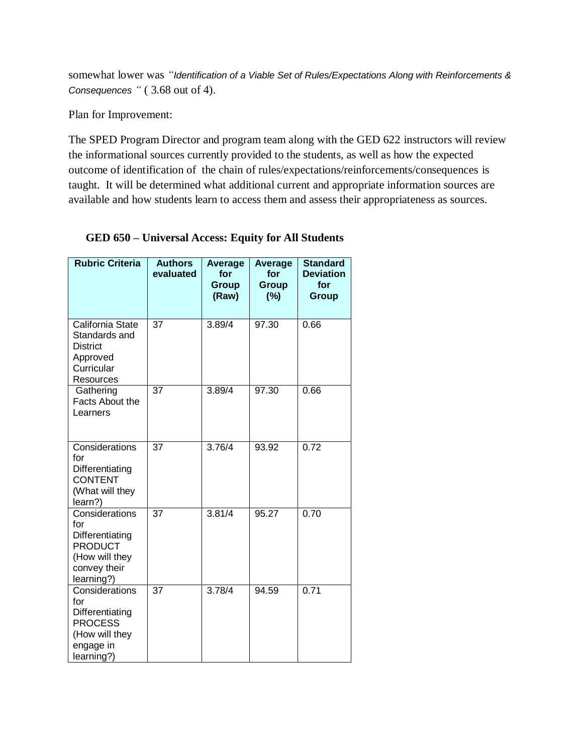somewhat lower was *"Identification of a Viable Set of Rules/Expectations Along with Reinforcements & Consequences "* ( 3.68 out of 4).

Plan for Improvement:

The SPED Program Director and program team along with the GED 622 instructors will review the informational sources currently provided to the students, as well as how the expected outcome of identification of the chain of rules/expectations/reinforcements/consequences is taught. It will be determined what additional current and appropriate information sources are available and how students learn to access them and assess their appropriateness as sources.

| <b>Rubric Criteria</b>                                                                                     | <b>Authors</b><br>evaluated | <b>Average</b><br>for<br><b>Group</b><br>(Raw) | Average<br>for<br><b>Group</b><br>(%) | <b>Standard</b><br><b>Deviation</b><br>for<br>Group |
|------------------------------------------------------------------------------------------------------------|-----------------------------|------------------------------------------------|---------------------------------------|-----------------------------------------------------|
| California State<br>Standards and<br><b>District</b><br>Approved<br>Curricular<br>Resources                | $\overline{37}$             | 3.89/4                                         | 97.30                                 | 0.66                                                |
| Gathering<br>Facts About the<br>Learners                                                                   | 37                          | 3.89/4                                         | 97.30                                 | 0.66                                                |
| Considerations<br>for<br>Differentiating<br><b>CONTENT</b><br>(What will they<br>learn?)                   | $\overline{37}$             | 3.76/4                                         | 93.92                                 | 0.72                                                |
| Considerations<br>for<br>Differentiating<br><b>PRODUCT</b><br>(How will they<br>convey their<br>learning?) | $\overline{37}$             | 3.81/4                                         | 95.27                                 | 0.70                                                |
| Considerations<br>for<br>Differentiating<br><b>PROCESS</b><br>(How will they<br>engage in<br>learning?)    | $\overline{37}$             | 3.78/4                                         | 94.59                                 | 0.71                                                |

# **GED 650 – Universal Access: Equity for All Students**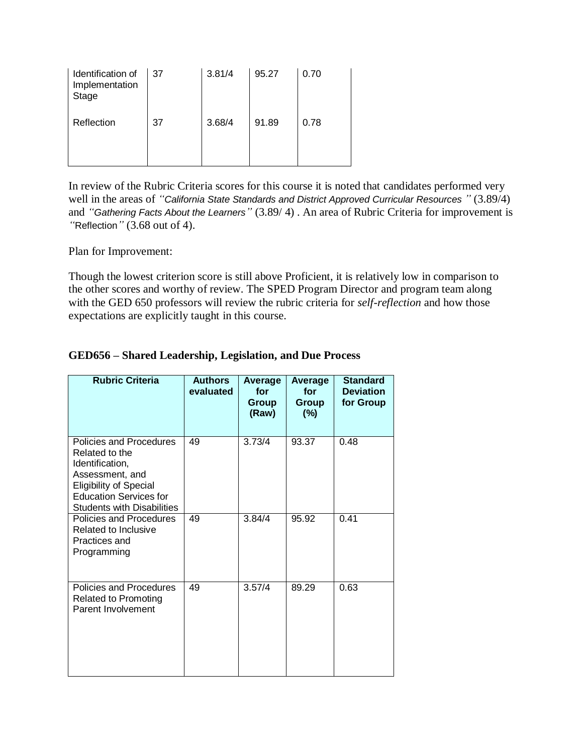| Identification of<br>Implementation<br><b>Stage</b> | 37 | 3.81/4 | 95.27 | 0.70 |
|-----------------------------------------------------|----|--------|-------|------|
| Reflection                                          | 37 | 3.68/4 | 91.89 | 0.78 |

In review of the Rubric Criteria scores for this course it is noted that candidates performed very well in the areas of *"California State Standards and District Approved Curricular Resources "* (3.89/4) and *"Gathering Facts About the Learners"* (3.89/ 4) . An area of Rubric Criteria for improvement is *"*Reflection*"* (3.68 out of 4).

Plan for Improvement:

Though the lowest criterion score is still above Proficient, it is relatively low in comparison to the other scores and worthy of review. The SPED Program Director and program team along with the GED 650 professors will review the rubric criteria for *self-reflection* and how those expectations are explicitly taught in this course.

| <b>Rubric Criteria</b>                                                                                                                                                                 | <b>Authors</b><br>evaluated | Average<br>for<br>Group<br>(Raw) | Average<br>for<br>Group<br>(%) | <b>Standard</b><br><b>Deviation</b><br>for Group |
|----------------------------------------------------------------------------------------------------------------------------------------------------------------------------------------|-----------------------------|----------------------------------|--------------------------------|--------------------------------------------------|
| Policies and Procedures<br>Related to the<br>Identification,<br>Assessment, and<br><b>Eligibility of Special</b><br><b>Education Services for</b><br><b>Students with Disabilities</b> | 49                          | 3.73/4                           | 93.37                          | 0.48                                             |
| Policies and Procedures<br>Related to Inclusive<br>Practices and<br>Programming                                                                                                        | 49                          | 3.84/4                           | 95.92                          | 0.41                                             |
| Policies and Procedures<br><b>Related to Promoting</b><br>Parent Involvement                                                                                                           | 49                          | 3.57/4                           | 89.29                          | 0.63                                             |

## **GED656 – Shared Leadership, Legislation, and Due Process**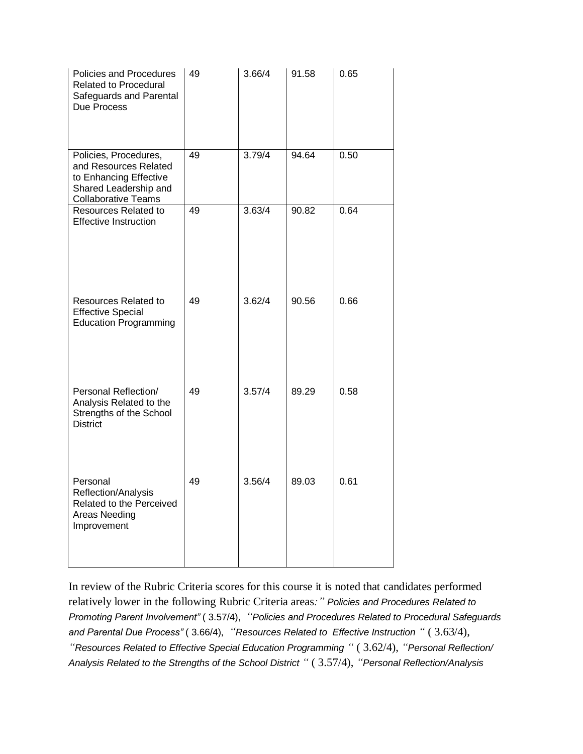| Policies and Procedures<br><b>Related to Procedural</b><br>Safeguards and Parental<br>Due Process                               | 49 | 3.66/4              | 91.58 | 0.65 |
|---------------------------------------------------------------------------------------------------------------------------------|----|---------------------|-------|------|
| Policies, Procedures,<br>and Resources Related<br>to Enhancing Effective<br>Shared Leadership and<br><b>Collaborative Teams</b> | 49 | 3.79/4              | 94.64 | 0.50 |
| <b>Resources Related to</b><br><b>Effective Instruction</b>                                                                     | 49 | $3.63/\overline{4}$ | 90.82 | 0.64 |
| <b>Resources Related to</b><br><b>Effective Special</b><br><b>Education Programming</b>                                         | 49 | 3.62/4              | 90.56 | 0.66 |
| Personal Reflection/<br>Analysis Related to the<br>Strengths of the School<br><b>District</b>                                   | 49 | 3.57/4              | 89.29 | 0.58 |
| Personal<br>Reflection/Analysis<br>Related to the Perceived<br>Areas Needing<br>Improvement                                     | 49 | 3.56/4              | 89.03 | 0.61 |

In review of the Rubric Criteria scores for this course it is noted that candidates performed relatively lower in the following Rubric Criteria areas*:" Policies and Procedures Related to Promoting Parent Involvement"* ( 3.57/4), *"Policies and Procedures Related to Procedural Safeguards and Parental Due Process"* ( 3.66/4), *"Resources Related to Effective Instruction "* ( 3.63/4), *"Resources Related to Effective Special Education Programming "* ( 3.62/4), *"Personal Reflection/ Analysis Related to the Strengths of the School District "* ( 3.57/4), *"Personal Reflection/Analysis*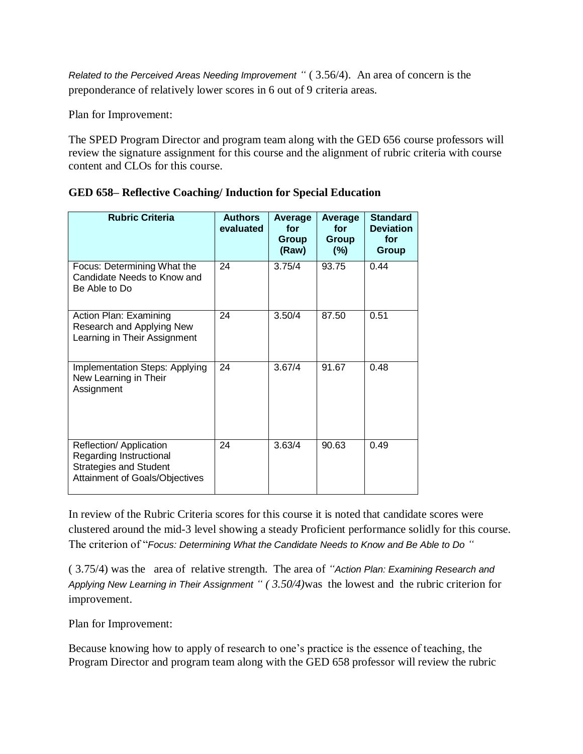*Related to the Perceived Areas Needing Improvement "* ( 3.56/4). An area of concern is the preponderance of relatively lower scores in 6 out of 9 criteria areas.

Plan for Improvement:

The SPED Program Director and program team along with the GED 656 course professors will review the signature assignment for this course and the alignment of rubric criteria with course content and CLOs for this course.

| <b>Rubric Criteria</b>                                                                                                | <b>Authors</b><br>evaluated | <b>Average</b><br>for<br>Group<br>(Raw) | <b>Average</b><br>for<br><b>Group</b><br>(%) | <b>Standard</b><br><b>Deviation</b><br>for<br>Group |
|-----------------------------------------------------------------------------------------------------------------------|-----------------------------|-----------------------------------------|----------------------------------------------|-----------------------------------------------------|
| Focus: Determining What the<br>Candidate Needs to Know and<br>Be Able to Do                                           | 24                          | 3.75/4                                  | 93.75                                        | 0.44                                                |
| Action Plan: Examining<br>Research and Applying New<br>Learning in Their Assignment                                   | 24                          | 3.50/4                                  | 87.50                                        | 0.51                                                |
| Implementation Steps: Applying<br>New Learning in Their<br>Assignment                                                 | 24                          | 3.67/4                                  | 91.67                                        | 0.48                                                |
| Reflection/ Application<br>Regarding Instructional<br><b>Strategies and Student</b><br>Attainment of Goals/Objectives | 24                          | 3.63/4                                  | 90.63                                        | 0.49                                                |

|  |  |  | <b>GED 658– Reflective Coaching/ Induction for Special Education</b> |
|--|--|--|----------------------------------------------------------------------|
|  |  |  |                                                                      |

In review of the Rubric Criteria scores for this course it is noted that candidate scores were clustered around the mid-3 level showing a steady Proficient performance solidly for this course. The criterion of "*Focus: Determining What the Candidate Needs to Know and Be Able to Do "*

( 3.75/4) was the area of relative strength. The area of *"Action Plan: Examining Research and Applying New Learning in Their Assignment " ( 3.50/4)*was the lowest andthe rubric criterion for improvement.

Plan for Improvement:

Because knowing how to apply of research to one's practice is the essence of teaching, the Program Director and program team along with the GED 658 professor will review the rubric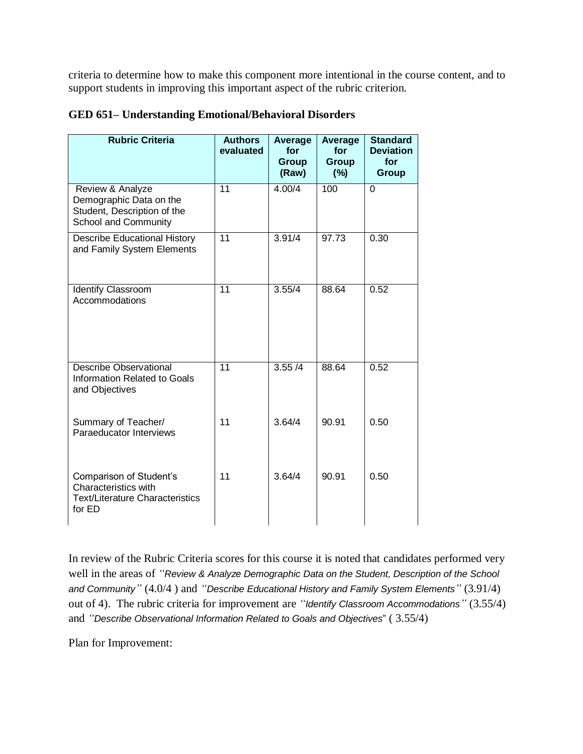criteria to determine how to make this component more intentional in the course content, and to support students in improving this important aspect of the rubric criterion.

| <b>Rubric Criteria</b>                                                                              | <b>Authors</b><br>evaluated | Average<br>for<br><b>Group</b><br>(Raw) | Average<br>for<br><b>Group</b><br>(%) | <b>Standard</b><br><b>Deviation</b><br>for<br><b>Group</b> |
|-----------------------------------------------------------------------------------------------------|-----------------------------|-----------------------------------------|---------------------------------------|------------------------------------------------------------|
| Review & Analyze<br>Demographic Data on the<br>Student, Description of the<br>School and Community  | $\overline{11}$             | 4.00/4                                  | 100                                   | $\overline{0}$                                             |
| <b>Describe Educational History</b><br>and Family System Elements                                   | $\overline{11}$             | 3.91/4                                  | 97.73                                 | 0.30                                                       |
| <b>Identify Classroom</b><br>Accommodations                                                         | $\overline{11}$             | 3.55/4                                  | 88.64                                 | 0.52                                                       |
| <b>Describe Observational</b><br>Information Related to Goals<br>and Objectives                     | 11                          | 3.55/4                                  | 88.64                                 | 0.52                                                       |
| Summary of Teacher/<br>Paraeducator Interviews                                                      | 11                          | 3.64/4                                  | 90.91                                 | 0.50                                                       |
| Comparison of Student's<br>Characteristics with<br><b>Text/Literature Characteristics</b><br>for ED | 11                          | 3.64/4                                  | 90.91                                 | 0.50                                                       |

# **GED 651– Understanding Emotional/Behavioral Disorders**

In review of the Rubric Criteria scores for this course it is noted that candidates performed very well in the areas of *"Review & Analyze Demographic Data on the Student, Description of the School and Community"* (4.0/4 ) and *"Describe Educational History and Family System Elements"* (3.91/4) out of 4). The rubric criteria for improvement are *"Identify Classroom Accommodations"* (3.55/4) and *"Describe Observational Information Related to Goals and Objectives*" ( 3.55/4)

Plan for Improvement: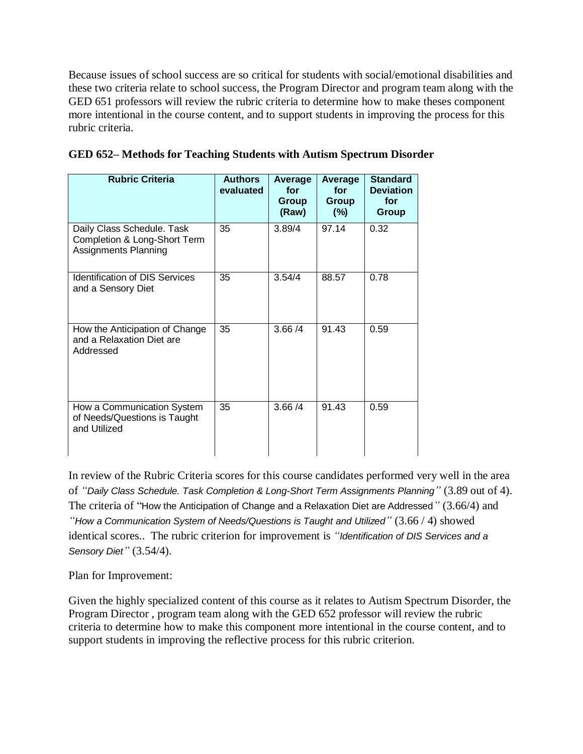Because issues of school success are so critical for students with social/emotional disabilities and these two criteria relate to school success, the Program Director and program team along with the GED 651 professors will review the rubric criteria to determine how to make theses component more intentional in the course content, and to support students in improving the process for this rubric criteria.

| <b>Rubric Criteria</b>                                                             | <b>Authors</b><br>evaluated | Average<br>for<br>Group<br>(Raw) | Average<br>for<br>Group<br>(%) | <b>Standard</b><br><b>Deviation</b><br>for<br>Group |
|------------------------------------------------------------------------------------|-----------------------------|----------------------------------|--------------------------------|-----------------------------------------------------|
| Daily Class Schedule. Task<br>Completion & Long-Short Term<br>Assignments Planning | 35                          | 3.89/4                           | 97.14                          | 0.32                                                |
| <b>Identification of DIS Services</b><br>and a Sensory Diet                        | 35                          | 3.54/4                           | 88.57                          | 0.78                                                |
| How the Anticipation of Change<br>and a Relaxation Diet are<br>Addressed           | 35                          | 3.66 / 4                         | 91.43                          | 0.59                                                |
| How a Communication System<br>of Needs/Questions is Taught<br>and Utilized         | 35                          | 3.66/4                           | 91.43                          | 0.59                                                |

|  |  |  |  | GED 652 – Methods for Teaching Students with Autism Spectrum Disorder |  |
|--|--|--|--|-----------------------------------------------------------------------|--|
|  |  |  |  |                                                                       |  |
|  |  |  |  |                                                                       |  |

In review of the Rubric Criteria scores for this course candidates performed very well in the area of *"Daily Class Schedule. Task Completion & Long-Short Term Assignments Planning"* (3.89 out of 4). The criteria of "How the Anticipation of Change and a Relaxation Diet are Addressed*"* (3.66/4) and *"How a Communication System of Needs/Questions is Taught and Utilized"* (3.66 / 4) showed identical scores.. The rubric criterion for improvement is *"Identification of DIS Services and a Sensory Diet"* (3.54/4).

Plan for Improvement:

Given the highly specialized content of this course as it relates to Autism Spectrum Disorder, the Program Director , program team along with the GED 652 professor will review the rubric criteria to determine how to make this component more intentional in the course content, and to support students in improving the reflective process for this rubric criterion.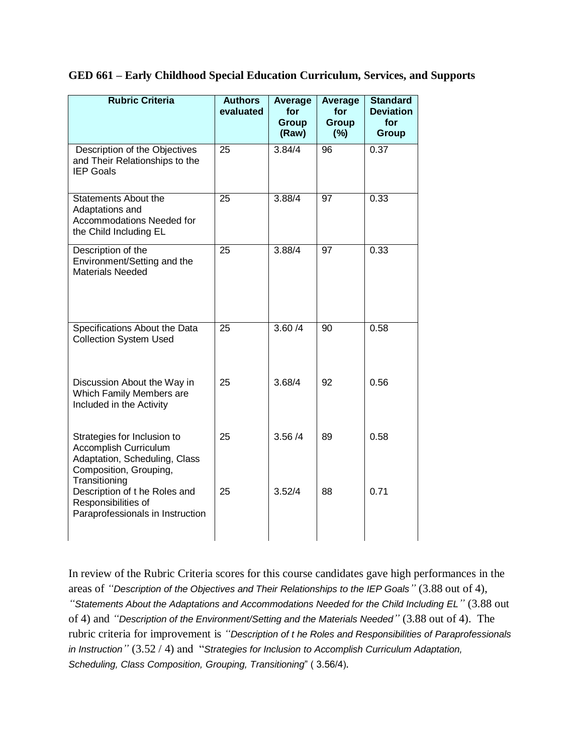| GED 661 - Early Childhood Special Education Curriculum, Services, and Supports |  |  |  |  |  |  |  |
|--------------------------------------------------------------------------------|--|--|--|--|--|--|--|
|--------------------------------------------------------------------------------|--|--|--|--|--|--|--|

| <b>Rubric Criteria</b>                                                                                                           | <b>Authors</b><br>evaluated | Average<br>for<br>Group<br>(Raw) | <b>Average</b><br>for<br><b>Group</b><br>(%) | <b>Standard</b><br><b>Deviation</b><br>for<br>Group |
|----------------------------------------------------------------------------------------------------------------------------------|-----------------------------|----------------------------------|----------------------------------------------|-----------------------------------------------------|
| Description of the Objectives<br>and Their Relationships to the<br><b>IEP Goals</b>                                              | $\overline{25}$             | 3.84/4                           | 96                                           | 0.37                                                |
| <b>Statements About the</b><br>Adaptations and<br><b>Accommodations Needed for</b><br>the Child Including EL                     | 25                          | 3.88/4                           | 97                                           | 0.33                                                |
| Description of the<br>Environment/Setting and the<br><b>Materials Needed</b>                                                     | 25                          | 3.88/4                           | 97                                           | 0.33                                                |
| Specifications About the Data<br><b>Collection System Used</b>                                                                   | $\overline{25}$             | 3.60 / 4                         | 90                                           | 0.58                                                |
| Discussion About the Way in<br>Which Family Members are<br>Included in the Activity                                              | 25                          | 3.68/4                           | 92                                           | 0.56                                                |
| Strategies for Inclusion to<br>Accomplish Curriculum<br>Adaptation, Scheduling, Class<br>Composition, Grouping,<br>Transitioning | 25                          | 3.56/4                           | 89                                           | 0.58                                                |
| Description of t he Roles and<br>Responsibilities of<br>Paraprofessionals in Instruction                                         | 25                          | 3.52/4                           | 88                                           | 0.71                                                |

In review of the Rubric Criteria scores for this course candidates gave high performances in the areas of *"Description of the Objectives and Their Relationships to the IEP Goals"* (3.88 out of 4), *"Statements About the Adaptations and Accommodations Needed for the Child Including EL"* (3.88 out of 4) and *"Description of the Environment/Setting and the Materials Needed"* (3.88 out of 4). The rubric criteria for improvement is *"Description of t he Roles and Responsibilities of Paraprofessionals in Instruction"* (3.52 / 4) and "*Strategies for Inclusion to Accomplish Curriculum Adaptation, Scheduling, Class Composition, Grouping, Transitioning*" ( 3.56/4).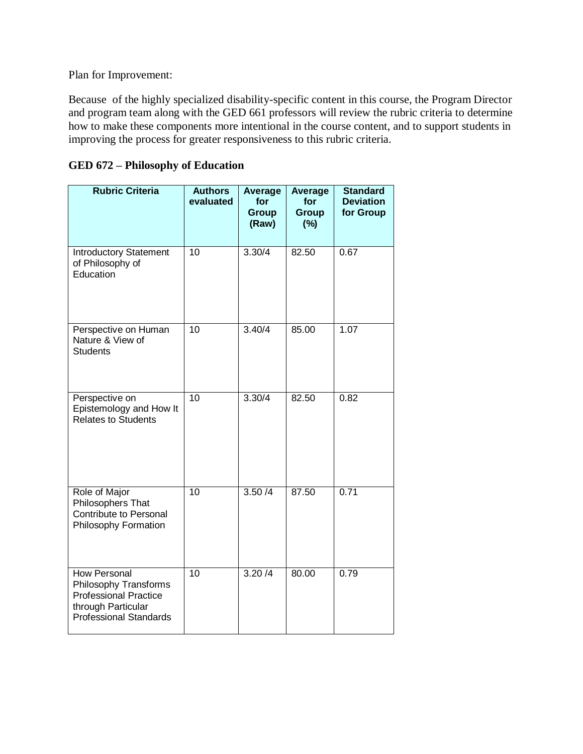Plan for Improvement:

Because of the highly specialized disability-specific content in this course, the Program Director and program team along with the GED 661 professors will review the rubric criteria to determine how to make these components more intentional in the course content, and to support students in improving the process for greater responsiveness to this rubric criteria.

| <b>Rubric Criteria</b>                                                                                                              | <b>Authors</b><br>evaluated | <b>Average</b><br>for<br>Group<br>(Raw) | <b>Average</b><br>for<br>Group<br>(%) | <b>Standard</b><br><b>Deviation</b><br>for Group |
|-------------------------------------------------------------------------------------------------------------------------------------|-----------------------------|-----------------------------------------|---------------------------------------|--------------------------------------------------|
| <b>Introductory Statement</b><br>of Philosophy of<br>Education                                                                      | $\overline{10}$             | 3.30/4                                  | 82.50                                 | 0.67                                             |
| Perspective on Human<br>Nature & View of<br><b>Students</b>                                                                         | $\overline{10}$             | 3.40/4                                  | 85.00                                 | 1.07                                             |
| Perspective on<br>Epistemology and How It<br>Relates to Students                                                                    | $\overline{10}$             | 3.30/4                                  | 82.50                                 | 0.82                                             |
| Role of Major<br>Philosophers That<br><b>Contribute to Personal</b><br>Philosophy Formation                                         | $\overline{10}$             | 3.50/4                                  | 87.50                                 | 0.71                                             |
| <b>How Personal</b><br>Philosophy Transforms<br><b>Professional Practice</b><br>through Particular<br><b>Professional Standards</b> | $\overline{10}$             | 3.20/4                                  | 80.00                                 | 0.79                                             |

| <b>GED 672 – Philosophy of Education</b> |  |
|------------------------------------------|--|
|------------------------------------------|--|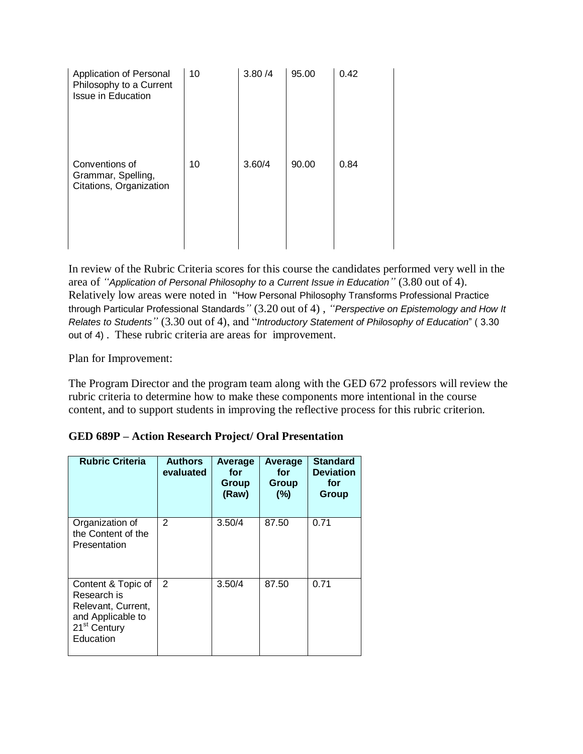| Application of Personal<br>Philosophy to a Current<br><b>Issue in Education</b> | 10 | 3.80 / 4 | 95.00 | 0.42 |
|---------------------------------------------------------------------------------|----|----------|-------|------|
| Conventions of<br>Grammar, Spelling,<br>Citations, Organization                 | 10 | 3.60/4   | 90.00 | 0.84 |

In review of the Rubric Criteria scores for this course the candidates performed very well in the area of *"Application of Personal Philosophy to a Current Issue in Education"* (3.80 out of 4). Relatively low areas were noted in "How Personal Philosophy Transforms Professional Practice through Particular Professional Standards*"* (3.20 out of 4) , *"Perspective on Epistemology and How It Relates to Students"* (3.30 out of 4), and "*Introductory Statement of Philosophy of Education*" ( 3.30 out of 4) . These rubric criteria are areas for improvement.

Plan for Improvement:

The Program Director and the program team along with the GED 672 professors will review the rubric criteria to determine how to make these components more intentional in the course content, and to support students in improving the reflective process for this rubric criterion.

| <b>Rubric Criteria</b>                                                                                                | <b>Authors</b><br>evaluated | Average<br>for<br>Group<br>(Raw) | Average<br>for<br>Group<br>(%) | <b>Standard</b><br><b>Deviation</b><br>for<br>Group |
|-----------------------------------------------------------------------------------------------------------------------|-----------------------------|----------------------------------|--------------------------------|-----------------------------------------------------|
| Organization of<br>the Content of the<br>Presentation                                                                 | 2                           | 3.50/4                           | 87.50                          | 0.71                                                |
| Content & Topic of<br>Research is<br>Relevant, Current,<br>and Applicable to<br>21 <sup>st</sup> Century<br>Education | 2                           | 3.50/4                           | 87.50                          | 0.71                                                |

|  |  |  | <b>GED 689P – Action Research Project/ Oral Presentation</b> |
|--|--|--|--------------------------------------------------------------|
|  |  |  |                                                              |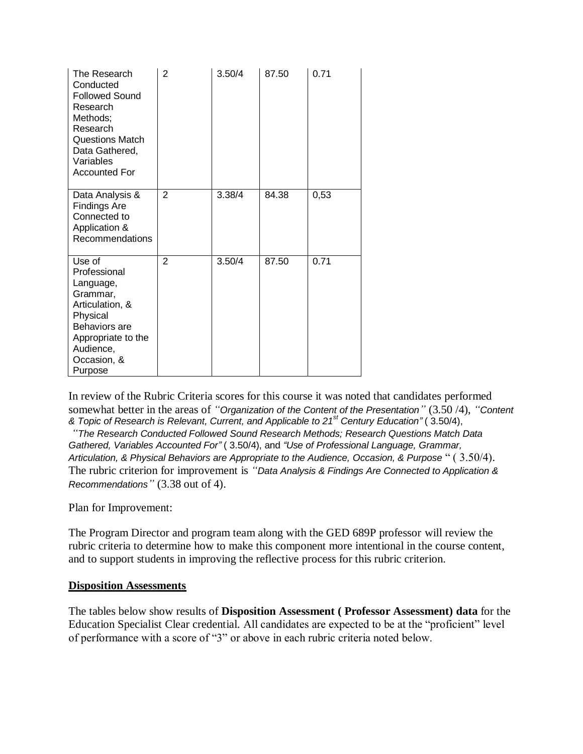| The Research<br>Conducted<br><b>Followed Sound</b><br>Research<br>Methods;<br>Research<br><b>Questions Match</b><br>Data Gathered,<br>Variables<br><b>Accounted For</b> | 2              | 3.50/4 | 87.50 | 0.71 |
|-------------------------------------------------------------------------------------------------------------------------------------------------------------------------|----------------|--------|-------|------|
| Data Analysis &<br>Findings Are<br>Connected to<br>Application &<br>Recommendations                                                                                     | $\overline{2}$ | 3.38/4 | 84.38 | 0,53 |
| Use of<br>Professional<br>Language,<br>Grammar,<br>Articulation, &<br>Physical<br>Behaviors are<br>Appropriate to the<br>Audience,<br>Occasion, &<br>Purpose            | $\overline{2}$ | 3.50/4 | 87.50 | 0.71 |

In review of the Rubric Criteria scores for this course it was noted that candidates performed somewhat better in the areas of *"Organization of the Content of the Presentation"* (3.50 /4), *"Content & Topic of Research is Relevant, Current, and Applicable to 21st Century Education"* ( 3.50/4),

*"The Research Conducted Followed Sound Research Methods; Research Questions Match Data Gathered, Variables Accounted For"* ( 3.50/4), and *"Use of Professional Language, Grammar, Articulation, & Physical Behaviors are Appropriate to the Audience, Occasion, & Purpose* " ( 3.50/4). The rubric criterion for improvement is *"Data Analysis & Findings Are Connected to Application & Recommendations"* (3.38 out of 4).

Plan for Improvement:

The Program Director and program team along with the GED 689P professor will review the rubric criteria to determine how to make this component more intentional in the course content, and to support students in improving the reflective process for this rubric criterion.

### **Disposition Assessments**

The tables below show results of **Disposition Assessment ( Professor Assessment) data** for the Education Specialist Clear credential. All candidates are expected to be at the "proficient" level of performance with a score of "3" or above in each rubric criteria noted below.